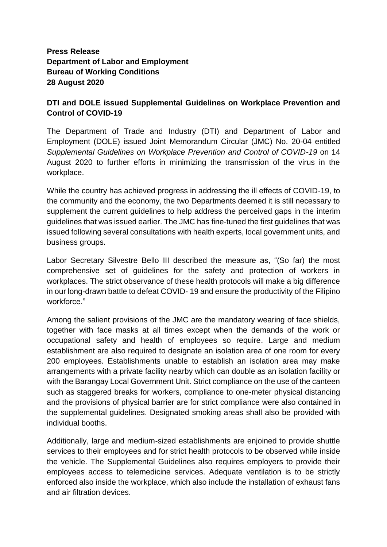## **Press Release Department of Labor and Employment Bureau of Working Conditions 28 August 2020**

## **DTI and DOLE issued Supplemental Guidelines on Workplace Prevention and Control of COVID-19**

The Department of Trade and Industry (DTI) and Department of Labor and Employment (DOLE) issued Joint Memorandum Circular (JMC) No. 20-04 entitled *Supplemental Guidelines on Workplace Prevention and Control of COVID-19* on 14 August 2020 to further efforts in minimizing the transmission of the virus in the workplace.

While the country has achieved progress in addressing the ill effects of COVID-19, to the community and the economy, the two Departments deemed it is still necessary to supplement the current guidelines to help address the perceived gaps in the interim guidelines that was issued earlier. The JMC has fine-tuned the first guidelines that was issued following several consultations with health experts, local government units, and business groups.

Labor Secretary Silvestre Bello III described the measure as, "(So far) the most comprehensive set of guidelines for the safety and protection of workers in workplaces. The strict observance of these health protocols will make a big difference in our long-drawn battle to defeat COVID- 19 and ensure the productivity of the Filipino workforce."

Among the salient provisions of the JMC are the mandatory wearing of face shields, together with face masks at all times except when the demands of the work or occupational safety and health of employees so require. Large and medium establishment are also required to designate an isolation area of one room for every 200 employees. Establishments unable to establish an isolation area may make arrangements with a private facility nearby which can double as an isolation facility or with the Barangay Local Government Unit. Strict compliance on the use of the canteen such as staggered breaks for workers, compliance to one-meter physical distancing and the provisions of physical barrier are for strict compliance were also contained in the supplemental guidelines. Designated smoking areas shall also be provided with individual booths.

Additionally, large and medium-sized establishments are enjoined to provide shuttle services to their employees and for strict health protocols to be observed while inside the vehicle. The Supplemental Guidelines also requires employers to provide their employees access to telemedicine services. Adequate ventilation is to be strictly enforced also inside the workplace, which also include the installation of exhaust fans and air filtration devices.